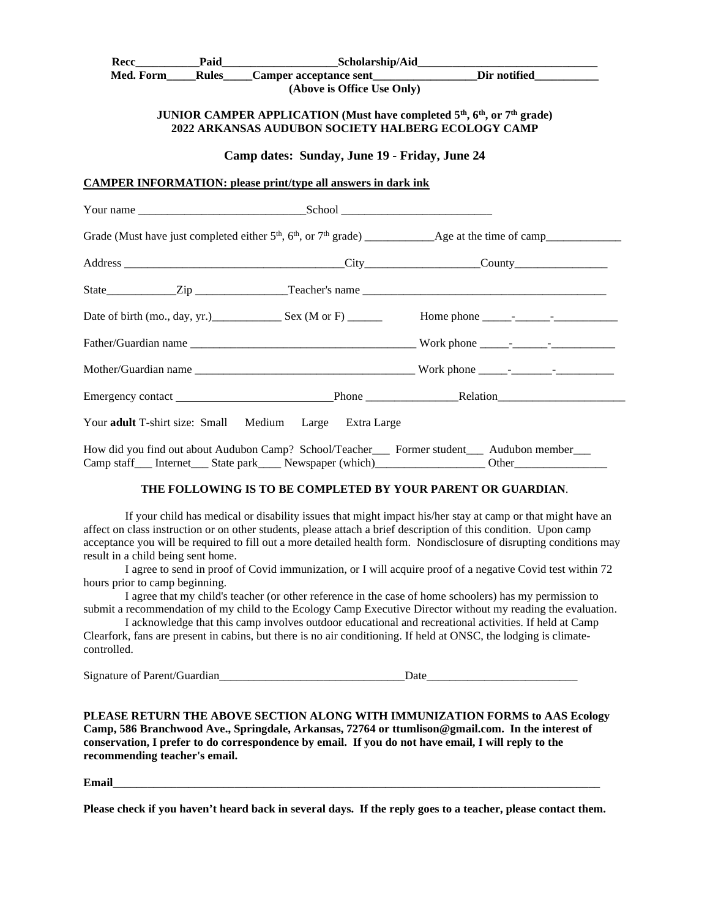|  |                                                                      | Med. Form Rules Camper acceptance sent Dir notified                                                          |
|--|----------------------------------------------------------------------|--------------------------------------------------------------------------------------------------------------|
|  | (Above is Office Use Only)                                           |                                                                                                              |
|  |                                                                      | JUNIOR CAMPER APPLICATION (Must have completed 5 <sup>th</sup> , 6 <sup>th</sup> , or 7 <sup>th</sup> grade) |
|  | 2022 ARKANSAS AUDUBON SOCIETY HALBERG ECOLOGY CAMP                   |                                                                                                              |
|  | Camp dates: Sunday, June 19 - Friday, June 24                        |                                                                                                              |
|  | <b>CAMPER INFORMATION: please print/type all answers in dark ink</b> |                                                                                                              |
|  |                                                                      |                                                                                                              |
|  |                                                                      |                                                                                                              |
|  |                                                                      |                                                                                                              |
|  |                                                                      |                                                                                                              |
|  |                                                                      |                                                                                                              |
|  |                                                                      |                                                                                                              |
|  |                                                                      |                                                                                                              |
|  |                                                                      |                                                                                                              |
|  |                                                                      |                                                                                                              |
|  |                                                                      |                                                                                                              |
|  |                                                                      |                                                                                                              |
|  |                                                                      |                                                                                                              |

Camp staff Internet State park Newspaper (which)\_\_\_\_\_\_\_\_\_\_\_\_\_\_\_\_\_\_\_\_\_\_\_\_\_\_\_\_\_\_\_\_ Other

## **THE FOLLOWING IS TO BE COMPLETED BY YOUR PARENT OR GUARDIAN**.

If your child has medical or disability issues that might impact his/her stay at camp or that might have an affect on class instruction or on other students, please attach a brief description of this condition. Upon camp acceptance you will be required to fill out a more detailed health form. Nondisclosure of disrupting conditions may result in a child being sent home.

I agree to send in proof of Covid immunization, or I will acquire proof of a negative Covid test within 72 hours prior to camp beginning.

I agree that my child's teacher (or other reference in the case of home schoolers) has my permission to submit a recommendation of my child to the Ecology Camp Executive Director without my reading the evaluation.

I acknowledge that this camp involves outdoor educational and recreational activities. If held at Camp Clearfork, fans are present in cabins, but there is no air conditioning. If held at ONSC, the lodging is climatecontrolled.

Signature of Parent/Guardian\_\_\_\_\_\_\_\_\_\_\_\_\_\_\_\_\_\_\_\_\_\_\_\_\_\_\_\_\_\_\_\_Date\_\_\_\_\_\_\_\_\_\_\_\_\_\_\_\_\_\_\_\_\_\_\_\_\_\_

**PLEASE RETURN THE ABOVE SECTION ALONG WITH IMMUNIZATION FORMS to AAS Ecology Camp, 586 Branchwood Ave., Springdale, Arkansas, 72764 or ttumlison@gmail.com. In the interest of conservation, I prefer to do correspondence by email. If you do not have email, I will reply to the recommending teacher's email.** 

**Email\_\_\_\_\_\_\_\_\_\_\_\_\_\_\_\_\_\_\_\_\_\_\_\_\_\_\_\_\_\_\_\_\_\_\_\_\_\_\_\_\_\_\_\_\_\_\_\_\_\_\_\_\_\_\_\_\_\_\_\_\_\_\_\_\_\_\_\_\_\_\_\_\_\_\_\_\_\_\_\_\_\_\_\_**

**Please check if you haven't heard back in several days. If the reply goes to a teacher, please contact them.**